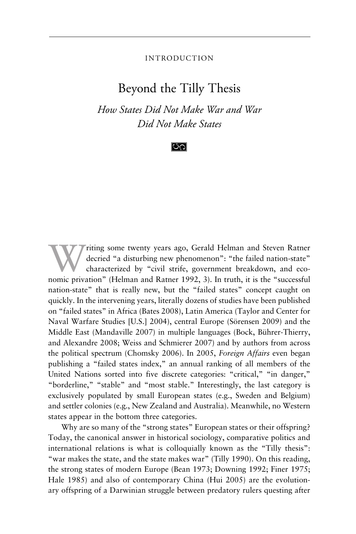#### INTRODUCTION

# Beyond the Tilly Thesis

*How States Did Not Make War and War Did Not Make States*

### $\infty$

Weining some twenty years ago, Gerald Helman and Steven Ratner<br>decried "a disturbing new phenomenon": "the failed nation-state"<br>characterized by "civil strife, government breakdown, and eco-<br>nomic privation" (Helman and Ba decried "a disturbing new phenomenon": "the failed nation-state" characterized by "civil strife, government breakdown, and economic privation" (Helman and Ratner 1992, 3). In truth, it is the "successful nation-state" that is really new, but the "failed states" concept caught on quickly. In the intervening years, literally dozens of studies have been published on "failed states" in Africa (Bates 2008), Latin America (Taylor and Center for Naval Warfare Studies [U.S.] 2004), central Europe (Sörensen 2009) and the Middle East (Mandaville 2007) in multiple languages (Bock, Bührer-Thierry, and Alexandre 2008; Weiss and Schmierer 2007) and by authors from across the political spectrum (Chomsky 2006). In 2005, *Foreign Affairs* even began publishing a "failed states index," an annual ranking of all members of the United Nations sorted into five discrete categories: "critical," "in danger," "borderline," "stable" and "most stable." Interestingly, the last category is exclusively populated by small European states (e.g., Sweden and Belgium) and settler colonies (e.g., New Zealand and Australia). Meanwhile, no Western states appear in the bottom three categories.

Why are so many of the "strong states" European states or their offspring? Today, the canonical answer in historical sociology, comparative politics and international relations is what is colloquially known as the "Tilly thesis": "war makes the state, and the state makes war" (Tilly 1990). On this reading, the strong states of modern Europe (Bean 1973; Downing 1992; Finer 1975; Hale 1985) and also of contemporary China (Hui 2005) are the evolutionary offspring of a Darwinian struggle between predatory rulers questing after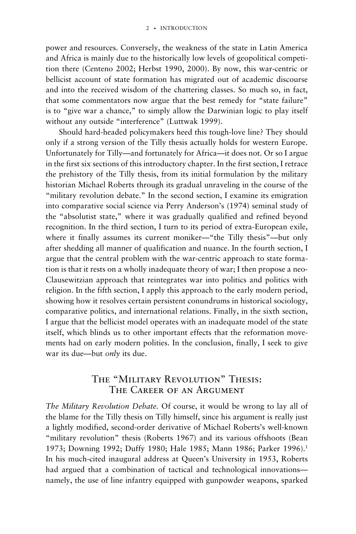power and resources. Conversely, the weakness of the state in Latin America and Africa is mainly due to the historically low levels of geopolitical competition there (Centeno 2002; Herbst 1990, 2000). By now, this war-centric or bellicist account of state formation has migrated out of academic discourse and into the received wisdom of the chattering classes. So much so, in fact, that some commentators now argue that the best remedy for "state failure" is to "give war a chance," to simply allow the Darwinian logic to play itself without any outside "interference" (Luttwak 1999).

Should hard-headed policymakers heed this tough-love line? They should only if a strong version of the Tilly thesis actually holds for western Europe. Unfortunately for Tilly—and fortunately for Africa—it does not. Or so I argue in the first six sections of this introductory chapter. In the first section, I retrace the prehistory of the Tilly thesis, from its initial formulation by the military historian Michael Roberts through its gradual unraveling in the course of the "military revolution debate." In the second section, I examine its emigration into comparative social science via Perry Anderson's (1974) seminal study of the "absolutist state," where it was gradually qualified and refined beyond recognition. In the third section, I turn to its period of extra-European exile, where it finally assumes its current moniker—"the Tilly thesis"—but only after shedding all manner of qualification and nuance. In the fourth section, I argue that the central problem with the war-centric approach to state formation is that it rests on a wholly inadequate theory of war; I then propose a neo-Clausewitzian approach that reintegrates war into politics and politics with religion. In the fifth section, I apply this approach to the early modern period, showing how it resolves certain persistent conundrums in historical sociology, comparative politics, and international relations. Finally, in the sixth section, I argue that the bellicist model operates with an inadequate model of the state itself, which blinds us to other important effects that the reformation movements had on early modern polities. In the conclusion, finally, I seek to give war its due—but *only* its due.

# The "Military Revolution" Thesis: THE CAREER OF AN ARGUMENT

*The Military Revolution Debate.* Of course, it would be wrong to lay all of the blame for the Tilly thesis on Tilly himself, since his argument is really just a lightly modified, second-order derivative of Michael Roberts's well-known "military revolution" thesis (Roberts 1967) and its various offshoots (Bean 1973; Downing 1992; Duffy 1980; Hale 1985; Mann 1986; Parker 1996).<sup>1</sup> In his much-cited inaugural address at Queen's University in 1953, Roberts had argued that a combination of tactical and technological innovations namely, the use of line infantry equipped with gunpowder weapons, sparked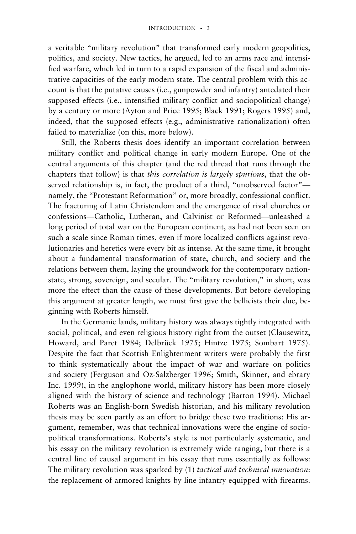a veritable "military revolution" that transformed early modern geopolitics, politics, and society. New tactics, he argued, led to an arms race and intensified warfare, which led in turn to a rapid expansion of the fiscal and administrative capacities of the early modern state. The central problem with this account is that the putative causes (i.e., gunpowder and infantry) antedated their supposed effects (i.e., intensified military conflict and sociopolitical change) by a century or more (Ayton and Price 1995; Black 1991; Rogers 1995) and, indeed, that the supposed effects (e.g., administrative rationalization) often failed to materialize (on this, more below).

Still, the Roberts thesis does identify an important correlation between military conflict and political change in early modern Europe. One of the central arguments of this chapter (and the red thread that runs through the chapters that follow) is that *this correlation is largely spurious*, that the observed relationship is, in fact, the product of a third, "unobserved factor" namely, the "Protestant Reformation" or, more broadly, confessional conflict. The fracturing of Latin Christendom and the emergence of rival churches or confessions—Catholic, Lutheran, and Calvinist or Reformed—unleashed a long period of total war on the European continent, as had not been seen on such a scale since Roman times, even if more localized conflicts against revolutionaries and heretics were every bit as intense. At the same time, it brought about a fundamental transformation of state, church, and society and the relations between them, laying the groundwork for the contemporary nationstate, strong, sovereign, and secular. The "military revolution," in short, was more the effect than the cause of these developments. But before developing this argument at greater length, we must first give the bellicists their due, beginning with Roberts himself.

In the Germanic lands, military history was always tightly integrated with social, political, and even religious history right from the outset (Clausewitz, Howard, and Paret 1984; Delbrück 1975; Hintze 1975; Sombart 1975). Despite the fact that Scottish Enlightenment writers were probably the first to think systematically about the impact of war and warfare on politics and society (Ferguson and Oz-Salzberger 1996; Smith, Skinner, and ebrary Inc. 1999), in the anglophone world, military history has been more closely aligned with the history of science and technology (Barton 1994). Michael Roberts was an English-born Swedish historian, and his military revolution thesis may be seen partly as an effort to bridge these two traditions: His argument, remember, was that technical innovations were the engine of sociopolitical transformations. Roberts's style is not particularly systematic, and his essay on the military revolution is extremely wide ranging, but there is a central line of causal argument in his essay that runs essentially as follows: The military revolution was sparked by (1) *tactical and technical innovation*: the replacement of armored knights by line infantry equipped with firearms.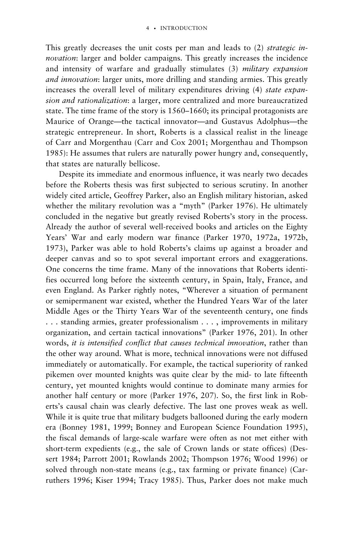This greatly decreases the unit costs per man and leads to (2) *strategic innovation*: larger and bolder campaigns. This greatly increases the incidence and intensity of warfare and gradually stimulates (3) *military expansion and innovation*: larger units, more drilling and standing armies. This greatly increases the overall level of military expenditures driving (4) *state expansion and rationalization*: a larger, more centralized and more bureaucratized state. The time frame of the story is 1560–1660; its principal protagonists are Maurice of Orange—the tactical innovator—and Gustavus Adolphus—the strategic entrepreneur. In short, Roberts is a classical realist in the lineage of Carr and Morgenthau (Carr and Cox 2001; Morgenthau and Thompson 1985): He assumes that rulers are naturally power hungry and, consequently, that states are naturally bellicose.

Despite its immediate and enormous influence, it was nearly two decades before the Roberts thesis was first subjected to serious scrutiny. In another widely cited article, Geoffrey Parker, also an English military historian, asked whether the military revolution was a "myth" (Parker 1976). He ultimately concluded in the negative but greatly revised Roberts's story in the process. Already the author of several well-received books and articles on the Eighty Years' War and early modern war finance (Parker 1970, 1972a, 1972b, 1973), Parker was able to hold Roberts's claims up against a broader and deeper canvas and so to spot several important errors and exaggerations. One concerns the time frame. Many of the innovations that Roberts identifies occurred long before the sixteenth century, in Spain, Italy, France, and even England. As Parker rightly notes, "Wherever a situation of permanent or semipermanent war existed, whether the Hundred Years War of the later Middle Ages or the Thirty Years War of the seventeenth century, one finds . . . standing armies, greater professionalism . . . , improvements in military organization, and certain tactical innovations" (Parker 1976, 201). In other words, *it is intensified conflict that causes technical innovation*, rather than the other way around. What is more, technical innovations were not diffused immediately or automatically. For example, the tactical superiority of ranked pikemen over mounted knights was quite clear by the mid- to late fifteenth century, yet mounted knights would continue to dominate many armies for another half century or more (Parker 1976, 207). So, the first link in Roberts's causal chain was clearly defective. The last one proves weak as well. While it is quite true that military budgets ballooned during the early modern era (Bonney 1981, 1999; Bonney and European Science Foundation 1995), the fiscal demands of large-scale warfare were often as not met either with short-term expedients (e.g., the sale of Crown lands or state offices) (Dessert 1984; Parrott 2001; Rowlands 2002; Thompson 1976; Wood 1996) or solved through non-state means (e.g., tax farming or private finance) (Carruthers 1996; Kiser 1994; Tracy 1985). Thus, Parker does not make much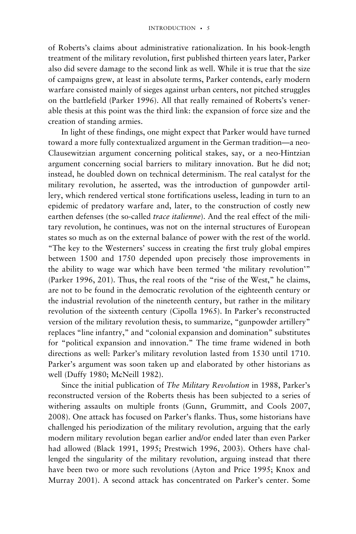of Roberts's claims about administrative rationalization. In his book-length treatment of the military revolution, first published thirteen years later, Parker also did severe damage to the second link as well. While it is true that the size of campaigns grew, at least in absolute terms, Parker contends, early modern warfare consisted mainly of sieges against urban centers, not pitched struggles on the battlefield (Parker 1996). All that really remained of Roberts's venerable thesis at this point was the third link: the expansion of force size and the creation of standing armies.

In light of these findings, one might expect that Parker would have turned toward a more fully contextualized argument in the German tradition—a neo-Clausewitzian argument concerning political stakes, say, or a neo-Hintzian argument concerning social barriers to military innovation. But he did not; instead, he doubled down on technical determinism. The real catalyst for the military revolution, he asserted, was the introduction of gunpowder artillery, which rendered vertical stone fortifications useless, leading in turn to an epidemic of predatory warfare and, later, to the construction of costly new earthen defenses (the so-called *trace italienne*). And the real effect of the military revolution, he continues, was not on the internal structures of European states so much as on the external balance of power with the rest of the world. "The key to the Westerners' success in creating the first truly global empires between 1500 and 1750 depended upon precisely those improvements in the ability to wage war which have been termed 'the military revolution'" (Parker 1996, 201). Thus, the real roots of the "rise of the West," he claims, are not to be found in the democratic revolution of the eighteenth century or the industrial revolution of the nineteenth century, but rather in the military revolution of the sixteenth century (Cipolla 1965). In Parker's reconstructed version of the military revolution thesis, to summarize, "gunpowder artillery" replaces "line infantry," and "colonial expansion and domination" substitutes for "political expansion and innovation." The time frame widened in both directions as well: Parker's military revolution lasted from 1530 until 1710. Parker's argument was soon taken up and elaborated by other historians as well (Duffy 1980; McNeill 1982).

Since the initial publication of *The Military Revolution* in 1988, Parker's reconstructed version of the Roberts thesis has been subjected to a series of withering assaults on multiple fronts (Gunn, Grummitt, and Cools 2007, 2008). One attack has focused on Parker's flanks. Thus, some historians have challenged his periodization of the military revolution, arguing that the early modern military revolution began earlier and/or ended later than even Parker had allowed (Black 1991, 1995; Prestwich 1996, 2003). Others have challenged the singularity of the military revolution, arguing instead that there have been two or more such revolutions (Ayton and Price 1995; Knox and Murray 2001). A second attack has concentrated on Parker's center. Some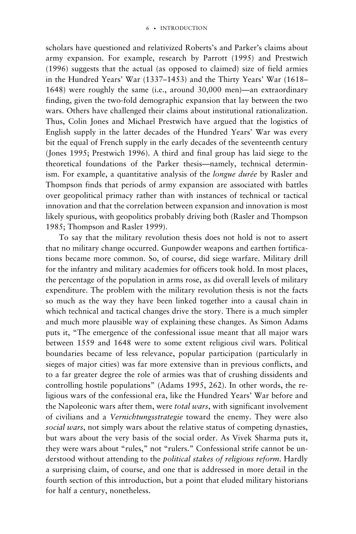scholars have questioned and relativized Roberts's and Parker's claims about army expansion. For example, research by Parrott (1995) and Prestwich (1996) suggests that the actual (as opposed to claimed) size of field armies in the Hundred Years' War (1337–1453) and the Thirty Years' War (1618– 1648) were roughly the same (i.e., around 30,000 men)—an extraordinary finding, given the two-fold demographic expansion that lay between the two wars. Others have challenged their claims about institutional rationalization. Thus, Colin Jones and Michael Prestwich have argued that the logistics of English supply in the latter decades of the Hundred Years' War was every bit the equal of French supply in the early decades of the seventeenth century (Jones 1995; Prestwich 1996). A third and final group has laid siege to the theoretical foundations of the Parker thesis—namely, technical determinism. For example, a quantitative analysis of the *longue durée* by Rasler and Thompson finds that periods of army expansion are associated with battles over geopolitical primacy rather than with instances of technical or tactical innovation and that the correlation between expansion and innovation is most likely spurious, with geopolitics probably driving both (Rasler and Thompson 1985; Thompson and Rasler 1999).

To say that the military revolution thesis does not hold is not to assert that no military change occurred. Gunpowder weapons and earthen fortifications became more common. So, of course, did siege warfare. Military drill for the infantry and military academies for officers took hold. In most places, the percentage of the population in arms rose, as did overall levels of military expenditure. The problem with the military revolution thesis is not the facts so much as the way they have been linked together into a causal chain in which technical and tactical changes drive the story. There is a much simpler and much more plausible way of explaining these changes. As Simon Adams puts it, "The emergence of the confessional issue meant that all major wars between 1559 and 1648 were to some extent religious civil wars. Political boundaries became of less relevance, popular participation (particularly in sieges of major cities) was far more extensive than in previous conflicts, and to a far greater degree the role of armies was that of crushing dissidents and controlling hostile populations" (Adams 1995, 262). In other words, the religious wars of the confessional era, like the Hundred Years' War before and the Napoleonic wars after them, were *total wars*, with significant involvement of civilians and a *Vernichtungsstrategie* toward the enemy. They were also *social wars*, not simply wars about the relative status of competing dynasties, but wars about the very basis of the social order. As Vivek Sharma puts it, they were wars about "rules," not "rulers." Confessional strife cannot be understood without attending to the *political stakes of religious reform*. Hardly a surprising claim, of course, and one that is addressed in more detail in the fourth section of this introduction, but a point that eluded military historians for half a century, nonetheless.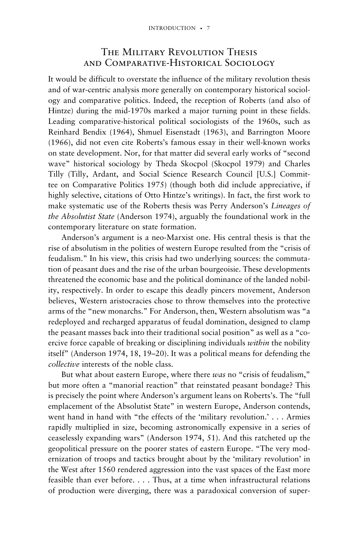## THE MILITARY REVOLUTION THESIS and Comparative-Historical Sociology

It would be difficult to overstate the influence of the military revolution thesis and of war-centric analysis more generally on contemporary historical sociology and comparative politics. Indeed, the reception of Roberts (and also of Hintze) during the mid-1970s marked a major turning point in these fields. Leading comparative-historical political sociologists of the 1960s, such as Reinhard Bendix (1964), Shmuel Eisenstadt (1963), and Barrington Moore (1966), did not even cite Roberts's famous essay in their well-known works on state development. Nor, for that matter did several early works of "second wave" historical sociology by Theda Skocpol (Skocpol 1979) and Charles Tilly (Tilly, Ardant, and Social Science Research Council [U.S.] Committee on Comparative Politics 1975) (though both did include appreciative, if highly selective, citations of Otto Hintze's writings). In fact, the first work to make systematic use of the Roberts thesis was Perry Anderson's *Lineages of the Absolutist State* (Anderson 1974), arguably the foundational work in the contemporary literature on state formation.

Anderson's argument is a neo-Marxist one. His central thesis is that the rise of absolutism in the polities of western Europe resulted from the "crisis of feudalism." In his view, this crisis had two underlying sources: the commutation of peasant dues and the rise of the urban bourgeoisie. These developments threatened the economic base and the political dominance of the landed nobility, respectively. In order to escape this deadly pincers movement, Anderson believes, Western aristocracies chose to throw themselves into the protective arms of the "new monarchs." For Anderson, then, Western absolutism was "a redeployed and recharged apparatus of feudal domination, designed to clamp the peasant masses back into their traditional social position" as well as a "coercive force capable of breaking or disciplining individuals *within* the nobility itself" (Anderson 1974, 18, 19–20). It was a political means for defending the *collective* interests of the noble class.

But what about eastern Europe, where there *was* no "crisis of feudalism," but more often a "manorial reaction" that reinstated peasant bondage? This is precisely the point where Anderson's argument leans on Roberts's. The "full emplacement of the Absolutist State" in western Europe, Anderson contends, went hand in hand with "the effects of the 'military revolution.' . . . Armies rapidly multiplied in size, becoming astronomically expensive in a series of ceaselessly expanding wars" (Anderson 1974, 51). And this ratcheted up the geopolitical pressure on the poorer states of eastern Europe. "The very modernization of troops and tactics brought about by the 'military revolution' in the West after 1560 rendered aggression into the vast spaces of the East more feasible than ever before. . . . Thus, at a time when infrastructural relations of production were diverging, there was a paradoxical conversion of super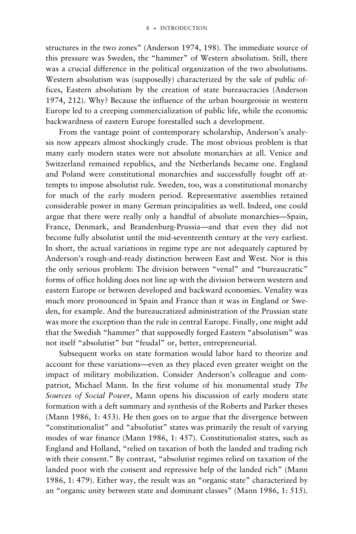structures in the two zones" (Anderson 1974, 198). The immediate source of this pressure was Sweden, the "hammer" of Western absolutism. Still, there was a crucial difference in the political organization of the two absolutisms. Western absolutism was (supposedly) characterized by the sale of public offices, Eastern absolutism by the creation of state bureaucracies (Anderson 1974, 212). Why? Because the influence of the urban bourgeoisie in western Europe led to a creeping commercialization of public life, while the economic backwardness of eastern Europe forestalled such a development.

From the vantage point of contemporary scholarship, Anderson's analysis now appears almost shockingly crude. The most obvious problem is that many early modern states were not absolute monarchies at all. Venice and Switzerland remained republics, and the Netherlands became one. England and Poland were constitutional monarchies and successfully fought off attempts to impose absolutist rule. Sweden, too, was a constitutional monarchy for much of the early modern period. Representative assemblies retained considerable power in many German principalities as well. Indeed, one could argue that there were really only a handful of absolute monarchies—Spain, France, Denmark, and Brandenburg-Prussia—and that even they did not become fully absolutist until the mid-seventeenth century at the very earliest. In short, the actual variations in regime type are not adequately captured by Anderson's rough-and-ready distinction between East and West. Nor is this the only serious problem: The division between "venal" and "bureaucratic" forms of office holding does not line up with the division between western and eastern Europe or between developed and backward economies. Venality was much more pronounced in Spain and France than it was in England or Sweden, for example. And the bureaucratized administration of the Prussian state was more the exception than the rule in central Europe. Finally, one might add that the Swedish "hammer" that supposedly forged Eastern "absolutism" was not itself "absolutist" but "feudal" or, better, entrepreneurial.

Subsequent works on state formation would labor hard to theorize and account for these variations—even as they placed even greater weight on the impact of military mobilization. Consider Anderson's colleague and compatriot, Michael Mann. In the first volume of his monumental study *The Sources of Social Power*, Mann opens his discussion of early modern state formation with a deft summary and synthesis of the Roberts and Parker theses (Mann 1986, 1: 453). He then goes on to argue that the divergence between "constitutionalist" and "absolutist" states was primarily the result of varying modes of war finance (Mann 1986, 1: 457). Constitutionalist states, such as England and Holland, "relied on taxation of both the landed and trading rich with their consent." By contrast, "absolutist regimes relied on taxation of the landed poor with the consent and repressive help of the landed rich" (Mann 1986, 1: 479). Either way, the result was an "organic state" characterized by an "organic unity between state and dominant classes" (Mann 1986, 1: 515).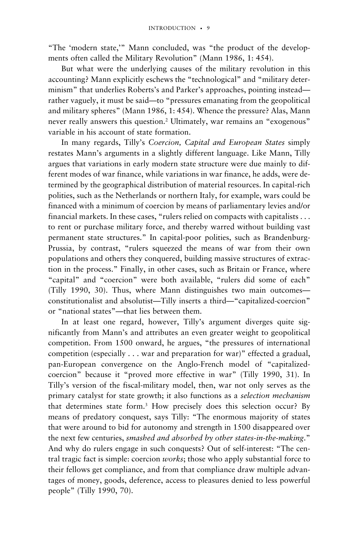"The 'modern state,'" Mann concluded, was "the product of the developments often called the Military Revolution" (Mann 1986, 1: 454).

But what were the underlying causes of the military revolution in this accounting? Mann explicitly eschews the "technological" and "military determinism" that underlies Roberts's and Parker's approaches, pointing instead rather vaguely, it must be said—to "pressures emanating from the geopolitical and military spheres" (Mann 1986, 1: 454). Whence the pressure? Alas, Mann never really answers this question.2 Ultimately, war remains an "exogenous" variable in his account of state formation.

In many regards, Tilly's *Coercion, Capital and European States* simply restates Mann's arguments in a slightly different language. Like Mann, Tilly argues that variations in early modern state structure were due mainly to different modes of war finance, while variations in war finance, he adds, were determined by the geographical distribution of material resources. In capital-rich polities, such as the Netherlands or northern Italy, for example, wars could be financed with a minimum of coercion by means of parliamentary levies and/or financial markets. In these cases, "rulers relied on compacts with capitalists . . . to rent or purchase military force, and thereby warred without building vast permanent state structures." In capital-poor polities, such as Brandenburg-Prussia, by contrast, "rulers squeezed the means of war from their own populations and others they conquered, building massive structures of extraction in the process." Finally, in other cases, such as Britain or France, where "capital" and "coercion" were both available, "rulers did some of each" (Tilly 1990, 30). Thus, where Mann distinguishes two main outcomes constitutionalist and absolutist—Tilly inserts a third—"capitalized-coercion" or "national states"—that lies between them.

In at least one regard, however, Tilly's argument diverges quite significantly from Mann's and attributes an even greater weight to geopolitical competition. From 1500 onward, he argues, "the pressures of international competition (especially . . . war and preparation for war)" effected a gradual, pan-European convergence on the Anglo-French model of "capitalizedcoercion" because it "proved more effective in war" (Tilly 1990, 31). In Tilly's version of the fiscal-military model, then, war not only serves as the primary catalyst for state growth; it also functions as a *selection mechanism* that determines state form.3 How precisely does this selection occur? By means of predatory conquest, says Tilly: "The enormous majority of states that were around to bid for autonomy and strength in 1500 disappeared over the next few centuries, *smashed and absorbed by other states-in-the-making*." And why do rulers engage in such conquests? Out of self-interest: "The central tragic fact is simple: coercion *works*; those who apply substantial force to their fellows get compliance, and from that compliance draw multiple advantages of money, goods, deference, access to pleasures denied to less powerful people" (Tilly 1990, 70).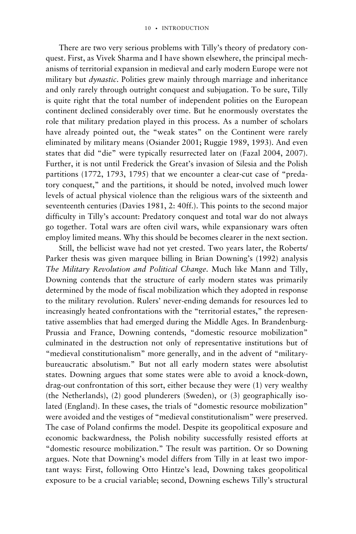There are two very serious problems with Tilly's theory of predatory conquest. First, as Vivek Sharma and I have shown elsewhere, the principal mechanisms of territorial expansion in medieval and early modern Europe were not military but *dynastic*. Polities grew mainly through marriage and inheritance and only rarely through outright conquest and subjugation. To be sure, Tilly is quite right that the total number of independent polities on the European continent declined considerably over time. But he enormously overstates the role that military predation played in this process. As a number of scholars have already pointed out, the "weak states" on the Continent were rarely eliminated by military means (Osiander 2001; Ruggie 1989, 1993). And even states that did "die" were typically resurrected later on (Fazal 2004, 2007). Further, it is not until Frederick the Great's invasion of Silesia and the Polish partitions (1772, 1793, 1795) that we encounter a clear-cut case of "predatory conquest," and the partitions, it should be noted, involved much lower levels of actual physical violence than the religious wars of the sixteenth and seventeenth centuries (Davies 1981, 2: 40ff.). This points to the second major difficulty in Tilly's account: Predatory conquest and total war do not always go together. Total wars are often civil wars, while expansionary wars often employ limited means. Why this should be becomes clearer in the next section.

Still, the bellicist wave had not yet crested. Two years later, the Roberts/ Parker thesis was given marquee billing in Brian Downing's (1992) analysis *The Military Revolution and Political Change*. Much like Mann and Tilly, Downing contends that the structure of early modern states was primarily determined by the mode of fiscal mobilization which they adopted in response to the military revolution. Rulers' never-ending demands for resources led to increasingly heated confrontations with the "territorial estates," the representative assemblies that had emerged during the Middle Ages. In Brandenburg-Prussia and France, Downing contends, "domestic resource mobilization" culminated in the destruction not only of representative institutions but of "medieval constitutionalism" more generally, and in the advent of "militarybureaucratic absolutism." But not all early modern states were absolutist states. Downing argues that some states were able to avoid a knock-down, drag-out confrontation of this sort, either because they were (1) very wealthy (the Netherlands), (2) good plunderers (Sweden), or (3) geographically isolated (England). In these cases, the trials of "domestic resource mobilization" were avoided and the vestiges of "medieval constitutionalism" were preserved. The case of Poland confirms the model. Despite its geopolitical exposure and economic backwardness, the Polish nobility successfully resisted efforts at "domestic resource mobilization." The result was partition. Or so Downing argues. Note that Downing's model differs from Tilly in at least two important ways: First, following Otto Hintze's lead, Downing takes geopolitical exposure to be a crucial variable; second, Downing eschews Tilly's structural